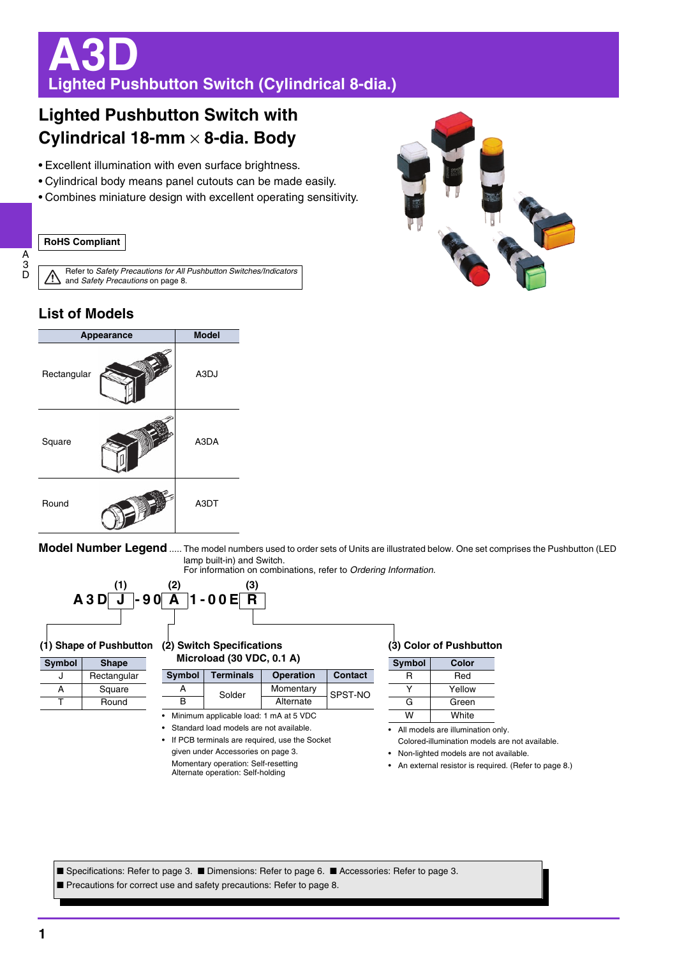# **A3D Lighted Pushbutton Switch (Cylindrical 8-dia.)**

## **Lighted Pushbutton Switch with Cylindrical 18-mm** × **8-dia. Body**

- Excellent illumination with even surface brightness.
- Cylindrical body means panel cutouts can be made easily.
- Combines miniature design with excellent operating sensitivity.

#### **RoHS Compliant**



Refer to *Safety Precautions for All Pushbutton Switches/Indicators* ⁄≬\ and *Safety Precautions* on page 8.

## **List of Models**



**Model Number Legend** ..... The model numbers used to order sets of Units are illustrated below. One set comprises the Pushbutton (LED lamp built-in) and Switch.

For information on combinations, refer to *Ordering Information*.



### **(2) Switch Specifications (1) Shape of Pushbutton**

| Symbol | <b>Shape</b> |
|--------|--------------|
| ا ،    | Rectangular  |
| Δ      | Square       |
|        | Round        |

| <b>Symbol</b>                                | <b>Terminals</b> | <b>Operation</b> | <b>Contact</b> |  |  |
|----------------------------------------------|------------------|------------------|----------------|--|--|
|                                              | Solder           | Momentary        | SPST-NO        |  |  |
|                                              |                  | Alternate        |                |  |  |
| $\sim$ Minimum and the black and a A of DIDO |                  |                  |                |  |  |

• Minimum applicable load: 1 mA at 5 VDC • Standard load models are not available.

**Microload (30 VDC, 0.1 A)**

If PCB terminals are required, use the Socket given under Accessories on page 3. Momentary operation: Self-resetting Alternate operation: Self-holding

#### **(3) Color of Pushbutton**

| Symbol | Color  |
|--------|--------|
| R      | Red    |
|        | Yellow |
| G      | Green  |
| w      | White  |

- All models are illumination only. Colored-illumination models are not available.
- Non-lighted models are not available.

- 
- An external resistor is required. (Refer to page 8.)

■ Specifications: Refer to page 3. ■ Dimensions: Refer to page 6. ■ Accessories: Refer to page 3. Precautions for correct use and safety precautions: Refer to page 8.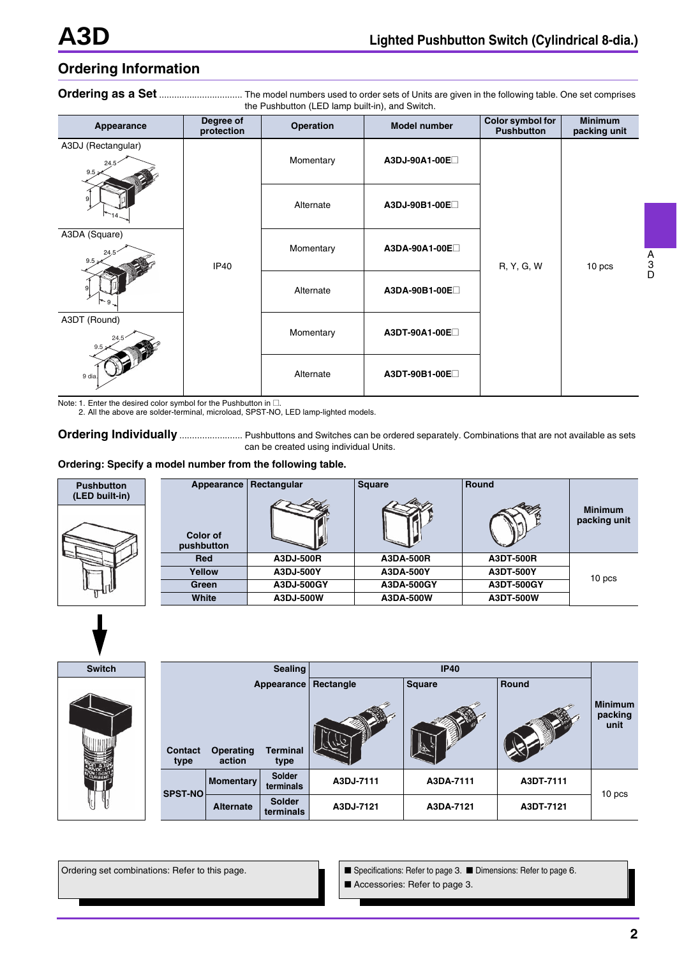## **Ordering Information**

**Ordering as a Set** ................................. The model numbers used to order sets of Units are given in the following table. One set comprises the Pushbutton (LED lamp built-in), and Switch.

| Appearance                                                                           | Degree of<br>protection | Operation | <b>Model number</b> | Color symbol for<br><b>Pushbutton</b> | <b>Minimum</b><br>packing unit |
|--------------------------------------------------------------------------------------|-------------------------|-----------|---------------------|---------------------------------------|--------------------------------|
| A3DJ (Rectangular)<br>24.5<br>$9.5 \times$                                           |                         | Momentary | A3DJ-90A1-00E       |                                       |                                |
| 9                                                                                    |                         | Alternate | A3DJ-90B1-00E       |                                       |                                |
| A3DA (Square)<br>24.<br>$9.5 \geq$<br>$9 -$<br>A3DT (Round)<br>24.5<br>9.5<br>9 dia. | <b>IP40</b>             | Momentary | A3DA-90A1-00E       | R, Y, G, W                            | 10 pcs                         |
|                                                                                      |                         | Alternate | A3DA-90B1-00E       |                                       |                                |
|                                                                                      |                         | Momentary | A3DT-90A1-00E       |                                       |                                |
|                                                                                      |                         | Alternate | A3DT-90B1-00E       |                                       |                                |

Note: 1. Enter the desired color symbol for the Pushbutton in  $\square$ .

2. All the above are solder-terminal, microload, SPST-NO, LED lamp-lighted models.

**Ordering Individually** ............................ Pushbuttons and Switches can be ordered separately. Combinations that are not available as sets can be created using individual Units.

#### **Ordering: Specify a model number from the following table.**

| <b>Pushbutton</b><br>(LED built-in) | Appearance             | Rectangular | <b>Square</b> | Round      |                                |
|-------------------------------------|------------------------|-------------|---------------|------------|--------------------------------|
|                                     | Color of<br>pushbutton |             |               |            | <b>Minimum</b><br>packing unit |
|                                     | <b>Red</b>             | A3DJ-500R   | A3DA-500R     | A3DT-500R  |                                |
|                                     | Yellow                 | A3DJ-500Y   | A3DA-500Y     | A3DT-500Y  | 10 pcs                         |
|                                     | Green                  | A3DJ-500GY  | A3DA-500GY    | A3DT-500GY |                                |
|                                     | White                  | A3DJ-500W   | A3DA-500W     | A3DT-500W  |                                |



| <b>Switch</b> |                 |                     | <b>Sealing</b>                        |           | <b>IP40</b>   |           |                                   |
|---------------|-----------------|---------------------|---------------------------------------|-----------|---------------|-----------|-----------------------------------|
|               | Contact<br>type | Operating<br>action | Appearance<br><b>Terminal</b><br>type | Rectangle | <b>Square</b> | Round     | <b>Minimum</b><br>packing<br>unit |
|               | <b>SPST-NO</b>  | Momentary           | Solder<br>terminals                   | A3DJ-7111 | A3DA-7111     | A3DT-7111 | 10 pcs                            |
| U             |                 | <b>Alternate</b>    | <b>Solder</b><br>terminals            | A3DJ-7121 | A3DA-7121     | A3DT-7121 |                                   |

Ordering set combinations: Refer to this page. ■ Specifications: Refer to page 3. ■ Dimensions: Refer to page 6. ■ Accessories: Refer to page 3.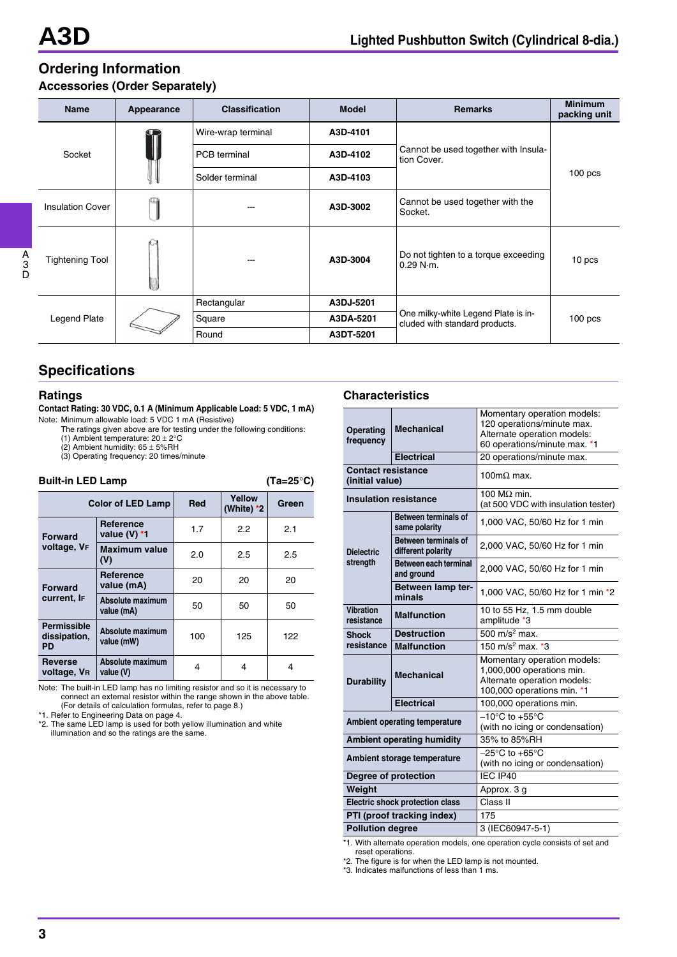## **Ordering Information Accessories (Order Separately)**

| <b>Name</b>             | Appearance | <b>Classification</b> | <b>Model</b> | <b>Remarks</b>                                                        | <b>Minimum</b><br>packing unit |
|-------------------------|------------|-----------------------|--------------|-----------------------------------------------------------------------|--------------------------------|
| Socket                  |            | Wire-wrap terminal    | A3D-4101     |                                                                       | 100 <sub>pos</sub>             |
|                         |            | PCB terminal          | A3D-4102     | Cannot be used together with Insula-<br>tion Cover.                   |                                |
|                         |            | Solder terminal       | A3D-4103     |                                                                       |                                |
| <b>Insulation Cover</b> |            |                       | A3D-3002     | Cannot be used together with the<br>Socket.                           |                                |
| <b>Tightening Tool</b>  |            |                       | A3D-3004     | Do not tighten to a torque exceeding<br>$0.29$ N $\cdot$ m.           | 10 pcs                         |
| Legend Plate            |            | Rectangular           | A3DJ-5201    |                                                                       | $100$ pcs                      |
|                         |            | Square                | A3DA-5201    | One milky-white Legend Plate is in-<br>cluded with standard products. |                                |
|                         |            | Round                 | A3DT-5201    |                                                                       |                                |

## **Specifications**

#### **Ratings**

#### **Contact Rating: 30 VDC, 0.1 A (Minimum Applicable Load: 5 VDC, 1 mA)** Note: Minimum allowable load: 5 VDC 1 mA (Resistive)

The ratings given above are for testing under the following conditions:

(1) Ambient temperature: 20  $\pm$  2°C<br>(2) Ambient humidity: 65  $\pm$  5%RH

(3) Operating frequency: 20 times/minute

## **Built-in LED Lamp (Ta=25**°**C)**

| <b>Color of LED Lamp</b>                        |                                | <b>Red</b> | Yellow<br>(White) *2 | Green |
|-------------------------------------------------|--------------------------------|------------|----------------------|-------|
| <b>Forward</b>                                  | Reference<br>value (V) $*1$    | 1.7        | 2.2                  | 2.1   |
| voltage, VF                                     | <b>Maximum value</b><br>(V)    | 2.0        | 2.5                  | 2.5   |
| <b>Forward</b><br>current, IF                   | Reference<br>value (mA)        | 20         | 20                   | 20    |
|                                                 | Absolute maximum<br>value (mA) | 50         | 50                   | 50    |
| <b>Permissible</b><br>dissipation,<br><b>PD</b> | Absolute maximum<br>value (mW) | 100        | 125                  | 122   |
| <b>Reverse</b><br>voltage, VR                   | Absolute maximum<br>value (V)  | 4          | 4                    | 4     |

Note: The built-in LED lamp has no limiting resistor and so it is necessary to connect an external resistor within the range shown in the above table. (For details of calculation formulas, refer to page 8.)

\*1. Refer to Engineering Data on page 4.

\*2. The same LED lamp is used for both yellow illumination and white illumination and so the ratings are the same.

#### **Characteristics**

| <b>Operating</b><br>frequency                 | <b>Mechanical</b>                          | Momentary operation models:<br>120 operations/minute max.<br>Alternate operation models:<br>60 operations/minute max. *1 |  |
|-----------------------------------------------|--------------------------------------------|--------------------------------------------------------------------------------------------------------------------------|--|
| <b>Electrical</b>                             |                                            | 20 operations/minute max.                                                                                                |  |
| <b>Contact resistance</b><br>(initial value)  |                                            | 100m $\Omega$ max.                                                                                                       |  |
|                                               | <b>Insulation resistance</b>               | 100 M $\Omega$ min.<br>(at 500 VDC with insulation tester)                                                               |  |
|                                               | Between terminals of<br>same polarity      | 1,000 VAC, 50/60 Hz for 1 min                                                                                            |  |
| <b>Dielectric</b>                             | Between terminals of<br>different polarity | 2,000 VAC, 50/60 Hz for 1 min                                                                                            |  |
| strength                                      | Between each terminal<br>and ground        | 2,000 VAC, 50/60 Hz for 1 min                                                                                            |  |
|                                               | Between lamp ter-<br>minals                | 1,000 VAC, 50/60 Hz for 1 min *2                                                                                         |  |
| Vibration<br><b>Malfunction</b><br>resistance |                                            | 10 to 55 Hz, 1.5 mm double<br>amplitude *3                                                                               |  |
| <b>Shock</b>                                  | <b>Destruction</b>                         | 500 m/s <sup>2</sup> max.                                                                                                |  |
| resistance<br><b>Malfunction</b>              |                                            | 150 m/s <sup>2</sup> max. $*3$                                                                                           |  |
| <b>Durability</b>                             | <b>Mechanical</b>                          | Momentary operation models:<br>1,000,000 operations min.<br>Alternate operation models:<br>100,000 operations min. *1    |  |
|                                               | <b>Electrical</b>                          | 100,000 operations min.                                                                                                  |  |
|                                               | <b>Ambient operating temperature</b>       | $-10^{\circ}$ C to $+55^{\circ}$ C<br>(with no icing or condensation)                                                    |  |
| <b>Ambient operating humidity</b>             |                                            | 35% to 85%RH                                                                                                             |  |
| Ambient storage temperature                   |                                            | $-25^{\circ}$ C to +65 $^{\circ}$ C<br>(with no icing or condensation)                                                   |  |
| Degree of protection                          |                                            | IEC IP40                                                                                                                 |  |
| Weight                                        |                                            | Approx. 3 g                                                                                                              |  |
| <b>Electric shock protection class</b>        |                                            | Class II                                                                                                                 |  |
|                                               | PTI (proof tracking index)                 | 175                                                                                                                      |  |
| <b>Pollution degree</b>                       |                                            | 3 (IEC60947-5-1)                                                                                                         |  |

\*1. With alternate operation models, one operation cycle consists of set and reset operations.

\*2. The figure is for when the LED lamp is not mounted.

\*3. Indicates malfunctions of less than 1 ms.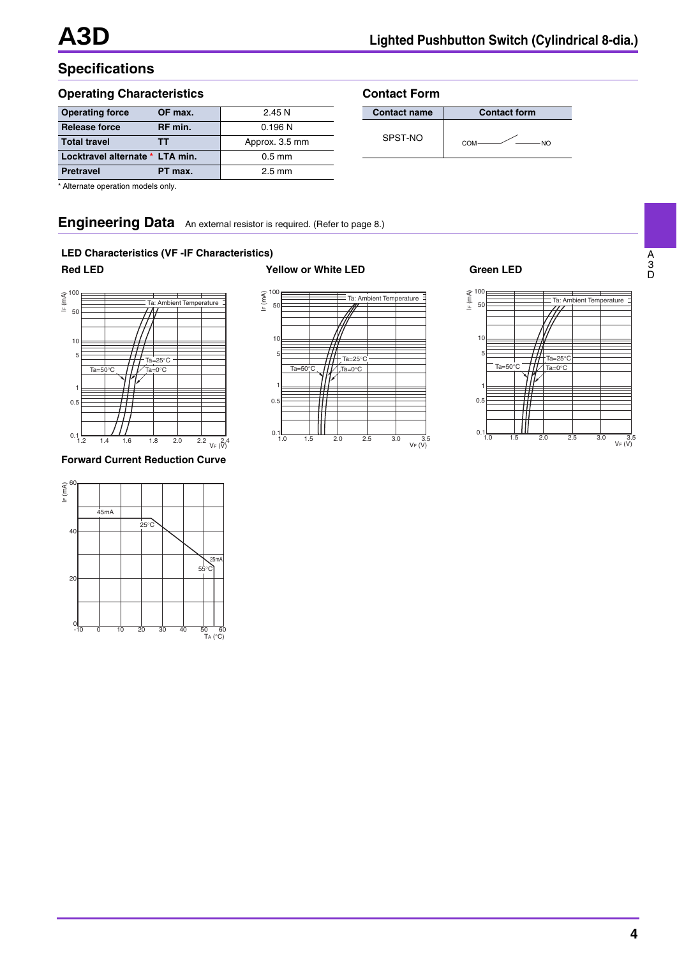## **Specifications**

### **Operating Characteristics**

| <b>Operating force</b><br>OF max. | 2.45N            |
|-----------------------------------|------------------|
| <b>Release force</b><br>RF min.   | 0.196N           |
| <b>Total travel</b><br>тт         | Approx. 3.5 mm   |
| Locktravel alternate * LTA min.   | $0.5$ mm         |
| <b>Pretravel</b><br>PT max.       | $2.5 \text{ mm}$ |

| <b>Contact Form</b> |                     |  |  |  |  |
|---------------------|---------------------|--|--|--|--|
| <b>Contact name</b> | <b>Contact form</b> |  |  |  |  |
| SPST-NO             | COM<br>NΩ           |  |  |  |  |

\* Alternate operation models only.

## **Engineering Data** An external resistor is required. (Refer to page 8.)

#### **LED Characteristics (VF -IF Characteristics)**



#### **Forward Current Reduction Curve**





### **Red LED Yellow or White LED Green LED**



A 3 D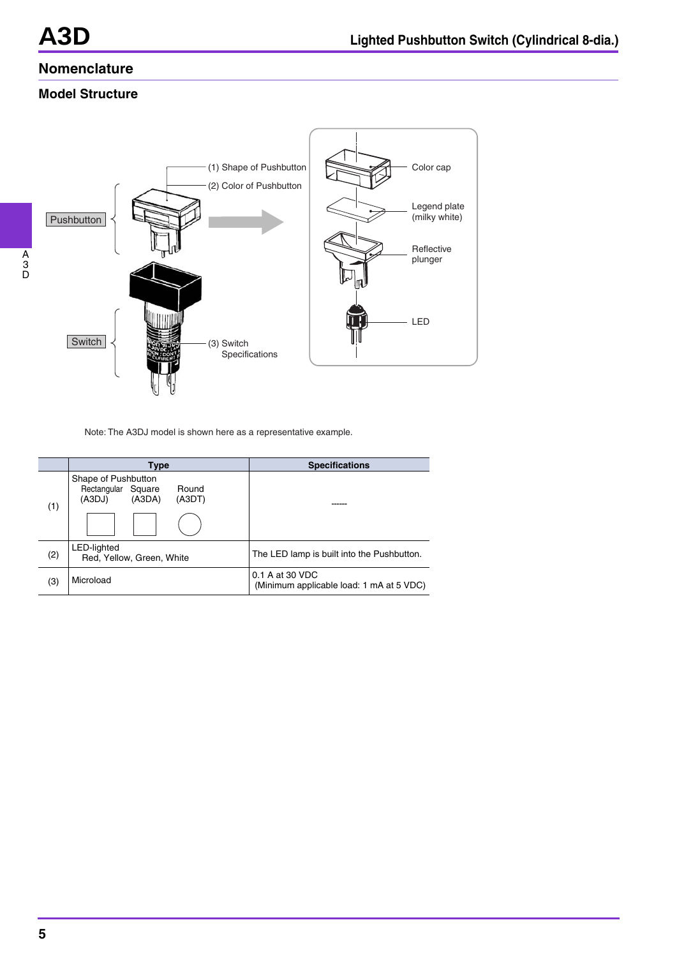## **Nomenclature**

## **Model Structure**



Note: The A3DJ model is shown here as a representative example.

|     | Type                                                                             | <b>Specifications</b>                                       |
|-----|----------------------------------------------------------------------------------|-------------------------------------------------------------|
| (1) | Shape of Pushbutton<br>Rectangular Square<br>Round<br>(A3DJ)<br>(A3DA)<br>(A3DT) |                                                             |
|     |                                                                                  |                                                             |
| (2) | <b>LED-lighted</b><br>Red, Yellow, Green, White                                  | The LED lamp is built into the Pushbutton.                  |
| (3) | Microload                                                                        | 0.1 A at 30 VDC<br>(Minimum applicable load: 1 mA at 5 VDC) |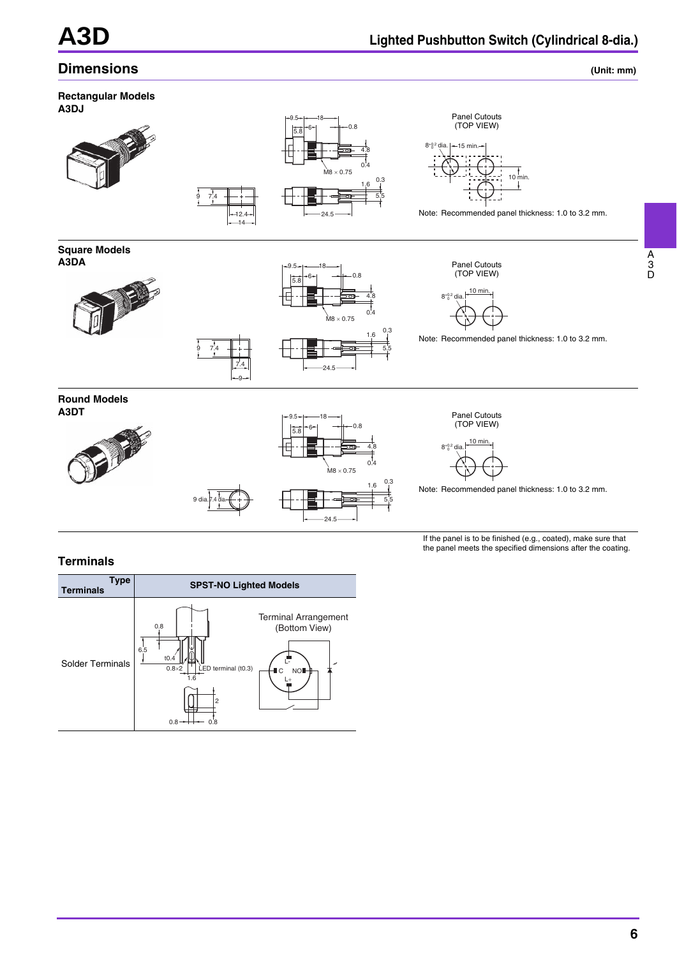## **Dimensions** (Unit: mm)

A 3 D



#### **Terminals**



the panel meets the specified dimensions after the coating.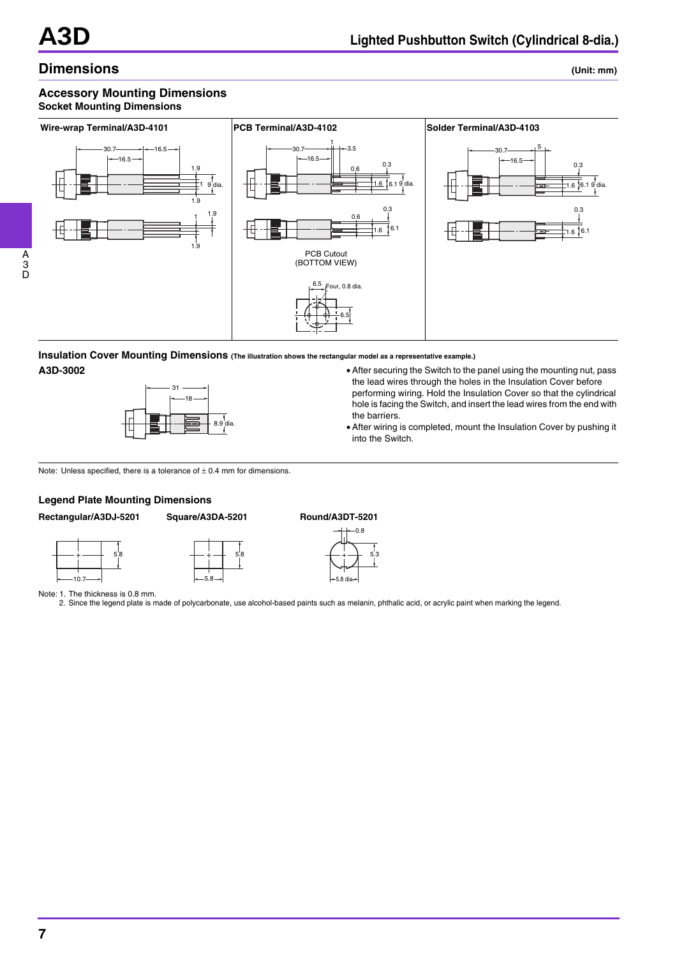## **Dimensions** (Unit: mm)

#### **Accessory Mounting Dimensions Socket Mounting Dimensions**



### **Insulation Cover Mounting Dimensions (The illustration shows the rectangular model as a representative example.)**



- **A3D-3002** After securing the Switch to the panel using the mounting nut, pass the lead wires through the holes in the Insulation Cover before performing wiring. Hold the Insulation Cover so that the cylindrical hole is facing the Switch, and insert the lead wires from the end with the barriers.
	- After wiring is completed, mount the Insulation Cover by pushing it into the Switch.

#### Note: Unless specified, there is a tolerance of  $\pm$  0.4 mm for dimensions.

#### **Legend Plate Mounting Dimensions**

5.8

**Rectangular/A3DJ-5201 Square/A3DA-5201 Round/A3DT-5201**

10.7



5.8

5.8



Note: 1. The thickness is 0.8 mm.

2. Since the legend plate is made of polycarbonate, use alcohol-based paints such as melanin, phthalic acid, or acrylic paint when marking the legend.

3 D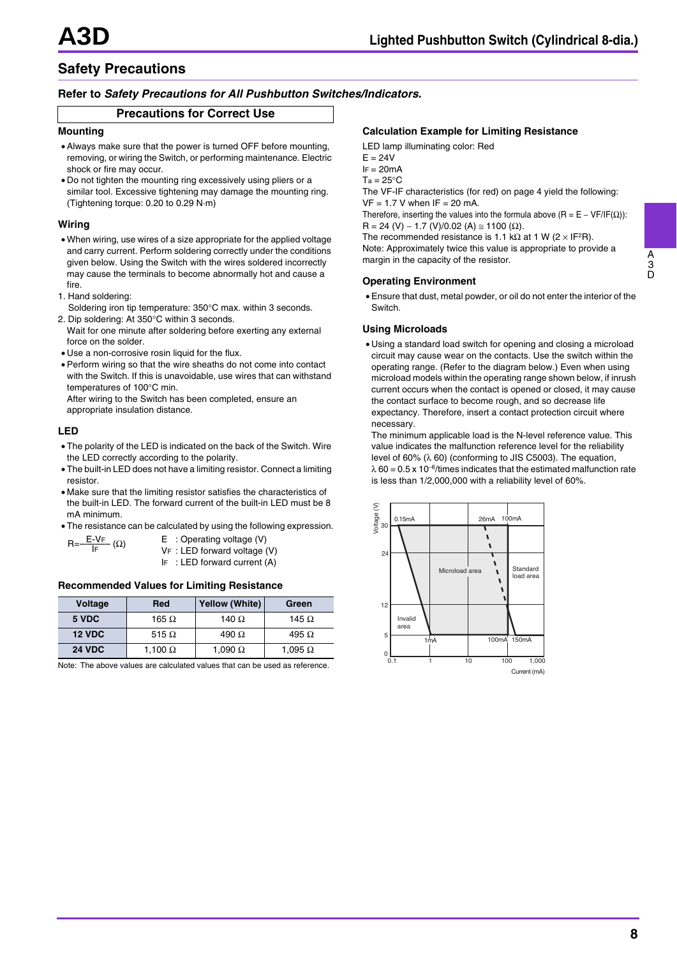## **Safety Precautions**

#### **Refer to** *Safety Precautions for All Pushbutton Switches/Indicators.*

#### **Precautions for Correct Use**

#### **Mounting**

- Always make sure that the power is turned OFF before mounting, removing, or wiring the Switch, or performing maintenance. Electric shock or fire may occur.
- Do not tighten the mounting ring excessively using pliers or a similar tool. Excessive tightening may damage the mounting ring. (Tightening torque: 0.20 to 0.29 N·m)

#### **Wiring**

- When wiring, use wires of a size appropriate for the applied voltage and carry current. Perform soldering correctly under the conditions given below. Using the Switch with the wires soldered incorrectly may cause the terminals to become abnormally hot and cause a fire.
- 1. Hand soldering:
- Soldering iron tip temperature: 350°C max. within 3 seconds. 2. Dip soldering: At 350°C within 3 seconds.
- Wait for one minute after soldering before exerting any external force on the solder.
- Use a non-corrosive rosin liquid for the flux.
- Perform wiring so that the wire sheaths do not come into contact with the Switch. If this is unavoidable, use wires that can withstand temperatures of 100°C min.

After wiring to the Switch has been completed, ensure an appropriate insulation distance.

#### **LED**

- The polarity of the LED is indicated on the back of the Switch. Wire the LED correctly according to the polarity.
- The built-in LED does not have a limiting resistor. Connect a limiting resistor.
- Make sure that the limiting resistor satisfies the characteristics of the built-in LED. The forward current of the built-in LED must be 8 mA minimum.
- The resistance can be calculated by using the following expression.

| $R=\frac{E-VF}{I_{F}}(\Omega)$ | $E$ : Operating voltage (V)    |
|--------------------------------|--------------------------------|
|                                | $VF: LED$ forward voltage (V)  |
|                                | IF : LED forward current $(A)$ |

#### **Recommended Values for Limiting Resistance**

| Voltage       | Red            | <b>Yellow (White)</b> | Green          |
|---------------|----------------|-----------------------|----------------|
| 5 VDC         | 165 $\Omega$   | 140 $\Omega$          | 145 $\Omega$   |
| <b>12 VDC</b> | 515 $\Omega$   | 490 $\Omega$          | 495 $\Omega$   |
| <b>24 VDC</b> | 1,100 $\Omega$ | 1,090 $\Omega$        | 1,095 $\Omega$ |

Note: The above values are calculated values that can be used as reference.

#### **Calculation Example for Limiting Resistance**

LED lamp illuminating color: Red

- $F = 24V$
- $IF = 20mA$
- $Ta = 25^{\circ}C$

The VF-IF characteristics (for red) on page 4 yield the following:  $VF = 1.7 V$  when  $IF = 20 mA$ .

Therefore, inserting the values into the formula above  $(R = E - VF/IF(\Omega))$ :  $R = 24 (V) - 1.7 (V)/0.02 (A) \approx 1100 (\Omega)$ .

The recommended resistance is 1.1 kΩ at 1 W ( $2 \times I$ F<sup>2</sup>R). Note: Approximately twice this value is appropriate to provide a margin in the capacity of the resistor.

#### **Operating Environment**

• Ensure that dust, metal powder, or oil do not enter the interior of the **Switch** 

#### **Using Microloads**

• Using a standard load switch for opening and closing a microload circuit may cause wear on the contacts. Use the switch within the operating range. (Refer to the diagram below.) Even when using microload models within the operating range shown below, if inrush current occurs when the contact is opened or closed, it may cause the contact surface to become rough, and so decrease life expectancy. Therefore, insert a contact protection circuit where necessary.

The minimum applicable load is the N-level reference value. This value indicates the malfunction reference level for the reliability level of 60% (λ 60) (conforming to JIS C5003). The equation,  $\lambda$  60 = 0.5 x 10<sup>-6</sup>/times indicates that the estimated malfunction rate is less than 1/2,000,000 with a reliability level of 60%.

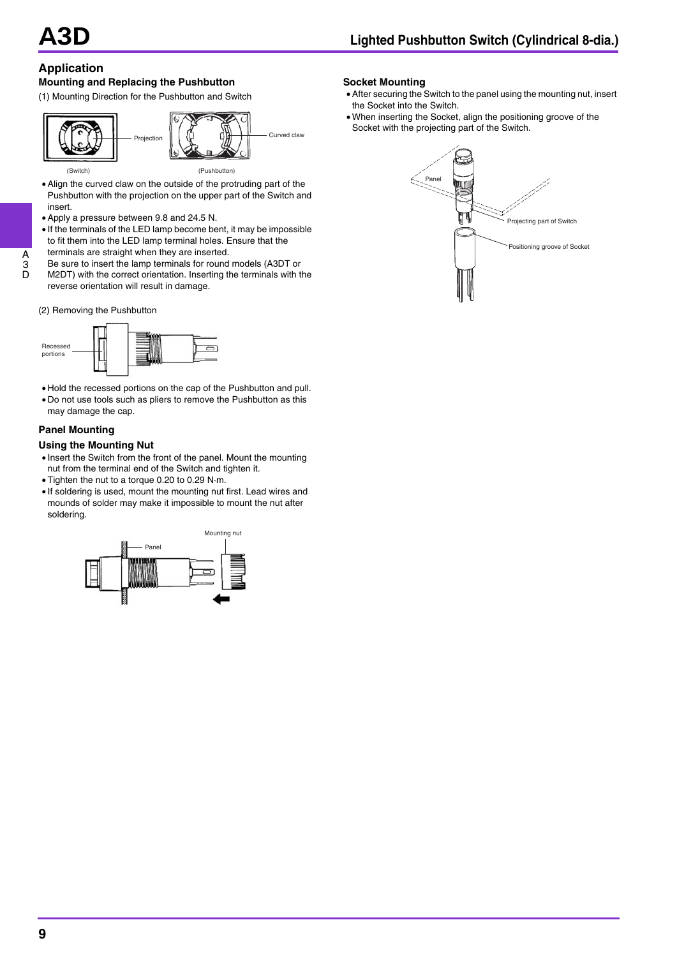## **Application**

A 3  $\tilde{D}$ 

#### **Mounting and Replacing the Pushbutton**

(1) Mounting Direction for the Pushbutton and Switch



- Align the curved claw on the outside of the protruding part of the Pushbutton with the projection on the upper part of the Switch and insert.
- Apply a pressure between 9.8 and 24.5 N.
- If the terminals of the LED lamp become bent, it may be impossible to fit them into the LED lamp terminal holes. Ensure that the
- terminals are straight when they are inserted.
- Be sure to insert the lamp terminals for round models (A3DT or
- M2DT) with the correct orientation. Inserting the terminals with the reverse orientation will result in damage.
- (2) Removing the Pushbutton



- Hold the recessed portions on the cap of the Pushbutton and pull. • Do not use tools such as pliers to remove the Pushbutton as this
- may damage the cap.

#### **Panel Mounting**

#### **Using the Mounting Nut**

- Insert the Switch from the front of the panel. Mount the mounting nut from the terminal end of the Switch and tighten it.
- Tighten the nut to a torque 0.20 to 0.29 N·m.
- If soldering is used, mount the mounting nut first. Lead wires and mounds of solder may make it impossible to mount the nut after soldering.



#### **Socket Mounting**

- After securing the Switch to the panel using the mounting nut, insert the Socket into the Switch.
- When inserting the Socket, align the positioning groove of the Socket with the projecting part of the Switch.